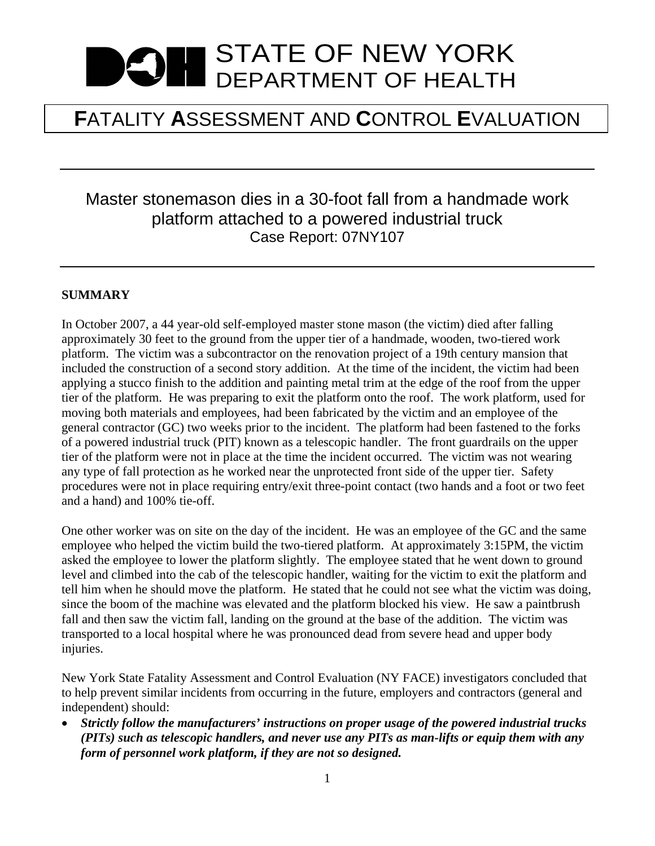# STATE OF NEW YORK DEPARTMENT OF HEALTH

## **F**ATALITY **A**SSESSMENT AND **C**ONTROL **E**VALUATION

### Master stonemason dies in a 30-foot fall from a handmade work platform attached to a powered industrial truck Case Report: 07NY107

#### **SUMMARY**

In October 2007, a 44 year-old self-employed master stone mason (the victim) died after falling approximately 30 feet to the ground from the upper tier of a handmade, wooden, two-tiered work platform. The victim was a subcontractor on the renovation project of a 19th century mansion that included the construction of a second story addition. At the time of the incident, the victim had been applying a stucco finish to the addition and painting metal trim at the edge of the roof from the upper tier of the platform. He was preparing to exit the platform onto the roof. The work platform, used for moving both materials and employees, had been fabricated by the victim and an employee of the general contractor (GC) two weeks prior to the incident. The platform had been fastened to the forks of a powered industrial truck (PIT) known as a telescopic handler. The front guardrails on the upper tier of the platform were not in place at the time the incident occurred. The victim was not wearing any type of fall protection as he worked near the unprotected front side of the upper tier. Safety procedures were not in place requiring entry/exit three-point contact (two hands and a foot or two feet and a hand) and 100% tie-off.

One other worker was on site on the day of the incident. He was an employee of the GC and the same employee who helped the victim build the two-tiered platform. At approximately 3:15PM, the victim asked the employee to lower the platform slightly. The employee stated that he went down to ground level and climbed into the cab of the telescopic handler, waiting for the victim to exit the platform and tell him when he should move the platform. He stated that he could not see what the victim was doing, since the boom of the machine was elevated and the platform blocked his view. He saw a paintbrush fall and then saw the victim fall, landing on the ground at the base of the addition. The victim was transported to a local hospital where he was pronounced dead from severe head and upper body injuries.

New York State Fatality Assessment and Control Evaluation (NY FACE) investigators concluded that to help prevent similar incidents from occurring in the future, employers and contractors (general and independent) should:

 *Strictly follow the manufacturers' instructions on proper usage of the powered industrial trucks (PITs) such as telescopic handlers, and never use any PITs as man-lifts or equip them with any form of personnel work platform, if they are not so designed.*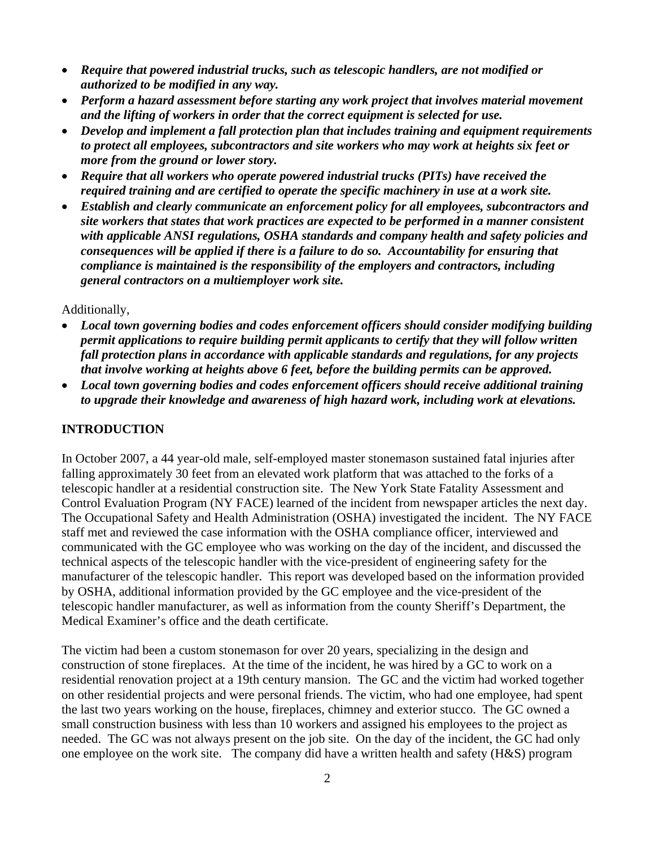- *Require that powered industrial trucks, such as telescopic handlers, are not modified or authorized to be modified in any way.*
- *Perform a hazard assessment before starting any work project that involves material movement and the lifting of workers in order that the correct equipment is selected for use.*
- *Develop and implement a fall protection plan that includes training and equipment requirements to protect all employees, subcontractors and site workers who may work at heights six feet or more from the ground or lower story.*
- *Require that all workers who operate powered industrial trucks (PITs) have received the required training and are certified to operate the specific machinery in use at a work site.*
- *Establish and clearly communicate an enforcement policy for all employees, subcontractors and site workers that states that work practices are expected to be performed in a manner consistent with applicable ANSI regulations, OSHA standards and company health and safety policies and consequences will be applied if there is a failure to do so. Accountability for ensuring that compliance is maintained is the responsibility of the employers and contractors, including general contractors on a multiemployer work site.*

#### Additionally,

- *Local town governing bodies and codes enforcement officers should consider modifying building permit applications to require building permit applicants to certify that they will follow written fall protection plans in accordance with applicable standards and regulations, for any projects that involve working at heights above 6 feet, before the building permits can be approved.*
- *Local town governing bodies and codes enforcement officers should receive additional training to upgrade their knowledge and awareness of high hazard work, including work at elevations.*

#### **INTRODUCTION**

In October 2007, a 44 year-old male, self-employed master stonemason sustained fatal injuries after falling approximately 30 feet from an elevated work platform that was attached to the forks of a telescopic handler at a residential construction site. The New York State Fatality Assessment and Control Evaluation Program (NY FACE) learned of the incident from newspaper articles the next day. The Occupational Safety and Health Administration (OSHA) investigated the incident. The NY FACE staff met and reviewed the case information with the OSHA compliance officer, interviewed and communicated with the GC employee who was working on the day of the incident, and discussed the technical aspects of the telescopic handler with the vice-president of engineering safety for the manufacturer of the telescopic handler. This report was developed based on the information provided by OSHA, additional information provided by the GC employee and the vice-president of the telescopic handler manufacturer, as well as information from the county Sheriff's Department, the Medical Examiner's office and the death certificate.

The victim had been a custom stonemason for over 20 years, specializing in the design and construction of stone fireplaces. At the time of the incident, he was hired by a GC to work on a residential renovation project at a 19th century mansion. The GC and the victim had worked together on other residential projects and were personal friends. The victim, who had one employee, had spent the last two years working on the house, fireplaces, chimney and exterior stucco. The GC owned a small construction business with less than 10 workers and assigned his employees to the project as needed. The GC was not always present on the job site. On the day of the incident, the GC had only one employee on the work site. The company did have a written health and safety (H&S) program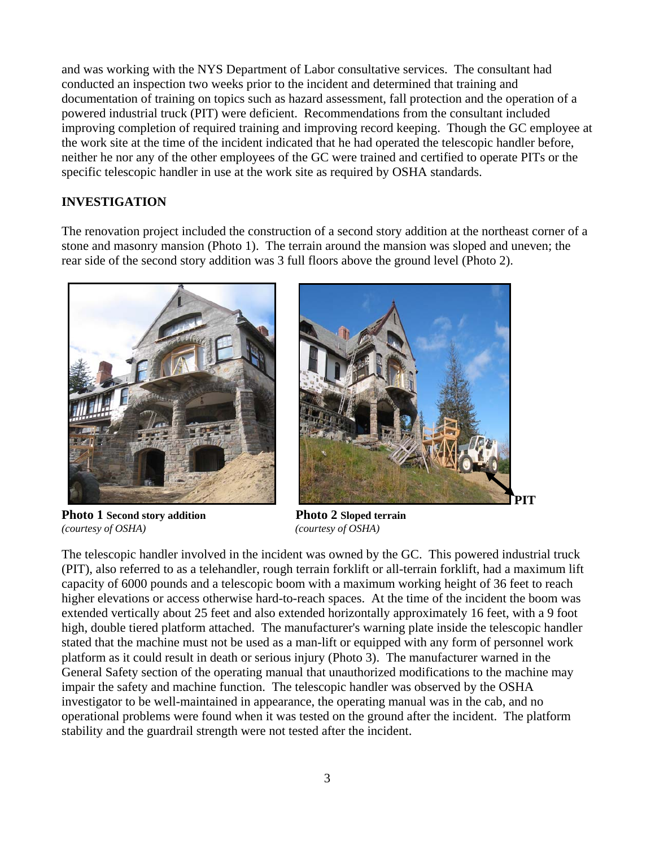and was working with the NYS Department of Labor consultative services. The consultant had conducted an inspection two weeks prior to the incident and determined that training and documentation of training on topics such as hazard assessment, fall protection and the operation of a powered industrial truck (PIT) were deficient. Recommendations from the consultant included improving completion of required training and improving record keeping. Though the GC employee at the work site at the time of the incident indicated that he had operated the telescopic handler before, neither he nor any of the other employees of the GC were trained and certified to operate PITs or the specific telescopic handler in use at the work site as required by OSHA standards.

#### **INVESTIGATION**

The renovation project included the construction of a second story addition at the northeast corner of a stone and masonry mansion (Photo 1). The terrain around the mansion was sloped and uneven; the rear side of the second story addition was 3 full floors above the ground level (Photo 2).





**Photo 1 Second story addition Photo 2 Sloped terrain** *(courtesy of OSHA) (courtesy of OSHA)* 

The telescopic handler involved in the incident was owned by the GC. This powered industrial truck (PIT), also referred to as a telehandler, rough terrain forklift or all-terrain forklift, had a maximum lift capacity of 6000 pounds and a telescopic boom with a maximum working height of 36 feet to reach higher elevations or access otherwise hard-to-reach spaces. At the time of the incident the boom was extended vertically about 25 feet and also extended horizontally approximately 16 feet, with a 9 foot high, double tiered platform attached. The manufacturer's warning plate inside the telescopic handler stated that the machine must not be used as a man-lift or equipped with any form of personnel work platform as it could result in death or serious injury (Photo 3). The manufacturer warned in the General Safety section of the operating manual that unauthorized modifications to the machine may impair the safety and machine function. The telescopic handler was observed by the OSHA investigator to be well-maintained in appearance, the operating manual was in the cab, and no operational problems were found when it was tested on the ground after the incident. The platform stability and the guardrail strength were not tested after the incident.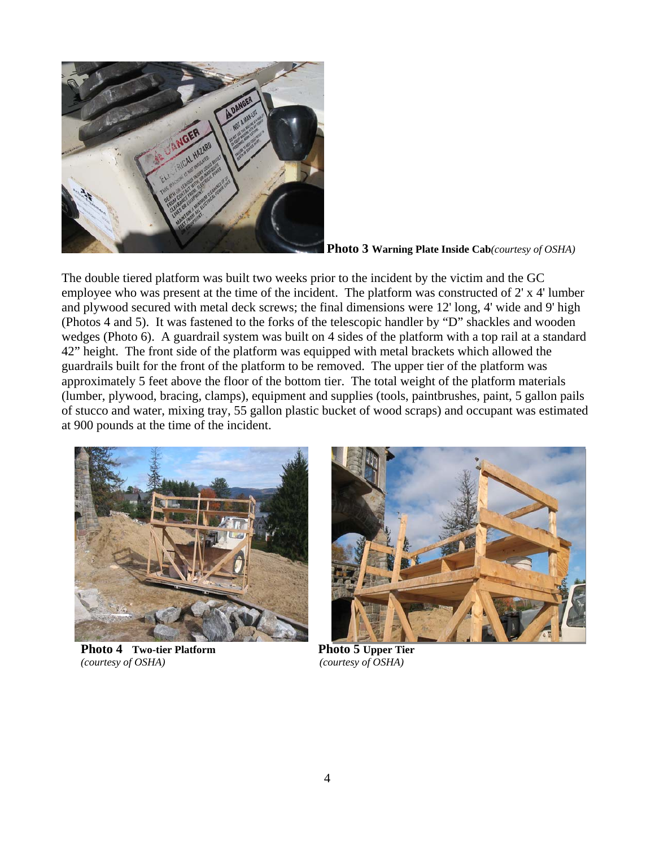

**Photo 3 Warning Plate Inside Cab***(courtesy of OSHA)*

The double tiered platform was built two weeks prior to the incident by the victim and the GC employee who was present at the time of the incident. The platform was constructed of 2' x 4' lumber and plywood secured with metal deck screws; the final dimensions were 12' long, 4' wide and 9' high (Photos 4 and 5). It was fastened to the forks of the telescopic handler by "D" shackles and wooden wedges (Photo 6). A guardrail system was built on 4 sides of the platform with a top rail at a standard 42" height. The front side of the platform was equipped with metal brackets which allowed the guardrails built for the front of the platform to be removed. The upper tier of the platform was approximately 5 feet above the floor of the bottom tier. The total weight of the platform materials (lumber, plywood, bracing, clamps), equipment and supplies (tools, paintbrushes, paint, 5 gallon pails of stucco and water, mixing tray, 55 gallon plastic bucket of wood scraps) and occupant was estimated at 900 pounds at the time of the incident.



**Photo 4** Two-tier Platform Photo 5 Upper Tier *(courtesy of OSHA) (courtesy of OSHA)* 

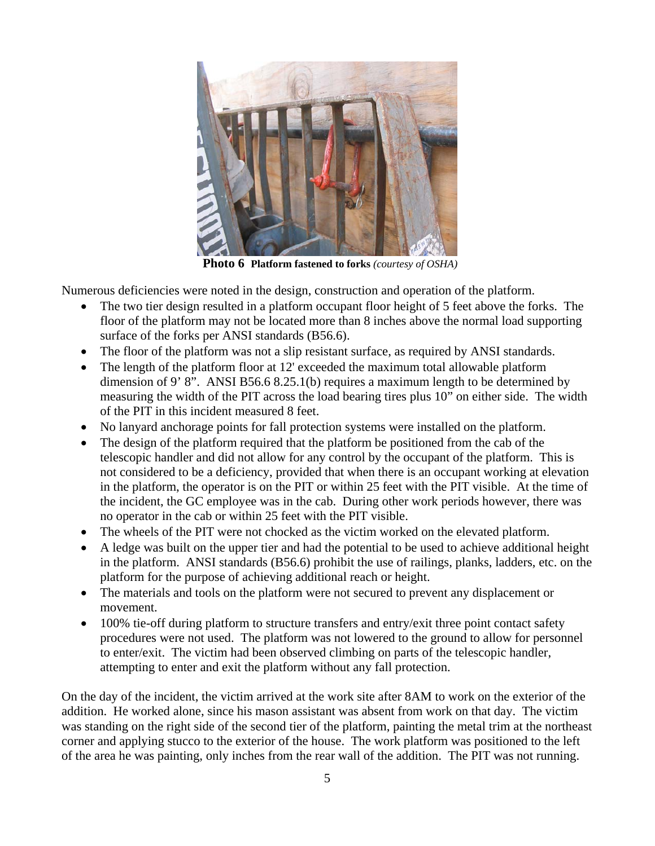

**Photo 6 Platform fastened to forks** *(courtesy of OSHA)* 

Numerous deficiencies were noted in the design, construction and operation of the platform.

- The two tier design resulted in a platform occupant floor height of 5 feet above the forks. The floor of the platform may not be located more than 8 inches above the normal load supporting surface of the forks per ANSI standards (B56.6).
- The floor of the platform was not a slip resistant surface, as required by ANSI standards.
- The length of the platform floor at 12' exceeded the maximum total allowable platform dimension of 9' 8". ANSI B56.6 8.25.1(b) requires a maximum length to be determined by measuring the width of the PIT across the load bearing tires plus 10" on either side. The width of the PIT in this incident measured 8 feet.
- No lanyard anchorage points for fall protection systems were installed on the platform.
- The design of the platform required that the platform be positioned from the cab of the telescopic handler and did not allow for any control by the occupant of the platform. This is not considered to be a deficiency, provided that when there is an occupant working at elevation in the platform, the operator is on the PIT or within 25 feet with the PIT visible. At the time of the incident, the GC employee was in the cab. During other work periods however, there was no operator in the cab or within 25 feet with the PIT visible.
- The wheels of the PIT were not chocked as the victim worked on the elevated platform.
- A ledge was built on the upper tier and had the potential to be used to achieve additional height in the platform. ANSI standards (B56.6) prohibit the use of railings, planks, ladders, etc. on the platform for the purpose of achieving additional reach or height.
- The materials and tools on the platform were not secured to prevent any displacement or movement.
- 100% tie-off during platform to structure transfers and entry/exit three point contact safety procedures were not used. The platform was not lowered to the ground to allow for personnel to enter/exit. The victim had been observed climbing on parts of the telescopic handler, attempting to enter and exit the platform without any fall protection.

On the day of the incident, the victim arrived at the work site after 8AM to work on the exterior of the addition. He worked alone, since his mason assistant was absent from work on that day. The victim was standing on the right side of the second tier of the platform, painting the metal trim at the northeast corner and applying stucco to the exterior of the house. The work platform was positioned to the left of the area he was painting, only inches from the rear wall of the addition. The PIT was not running.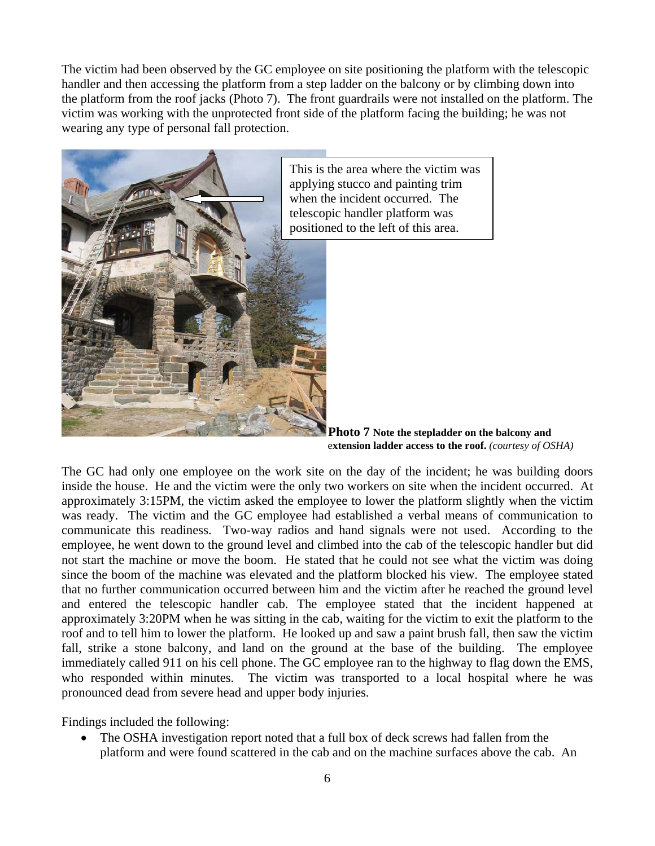The victim had been observed by the GC employee on site positioning the platform with the telescopic handler and then accessing the platform from a step ladder on the balcony or by climbing down into the platform from the roof jacks (Photo 7). The front guardrails were not installed on the platform. The victim was working with the unprotected front side of the platform facing the building; he was not wearing any type of personal fall protection.



This is the area where the victim was applying stucco and painting trim when the incident occurred. The telescopic handler platform was positioned to the left of this area.

**Photo 7 Note the stepladder on the balcony and**  e**xtension ladder access to the roof.** *(courtesy of OSHA)* 

The GC had only one employee on the work site on the day of the incident; he was building doors inside the house. He and the victim were the only two workers on site when the incident occurred. At approximately 3:15PM, the victim asked the employee to lower the platform slightly when the victim was ready. The victim and the GC employee had established a verbal means of communication to communicate this readiness. Two-way radios and hand signals were not used. According to the employee, he went down to the ground level and climbed into the cab of the telescopic handler but did not start the machine or move the boom. He stated that he could not see what the victim was doing since the boom of the machine was elevated and the platform blocked his view. The employee stated that no further communication occurred between him and the victim after he reached the ground level and entered the telescopic handler cab. The employee stated that the incident happened at approximately 3:20PM when he was sitting in the cab, waiting for the victim to exit the platform to the roof and to tell him to lower the platform. He looked up and saw a paint brush fall, then saw the victim fall, strike a stone balcony, and land on the ground at the base of the building. The employee immediately called 911 on his cell phone. The GC employee ran to the highway to flag down the EMS, who responded within minutes. The victim was transported to a local hospital where he was pronounced dead from severe head and upper body injuries.

Findings included the following:

• The OSHA investigation report noted that a full box of deck screws had fallen from the platform and were found scattered in the cab and on the machine surfaces above the cab. An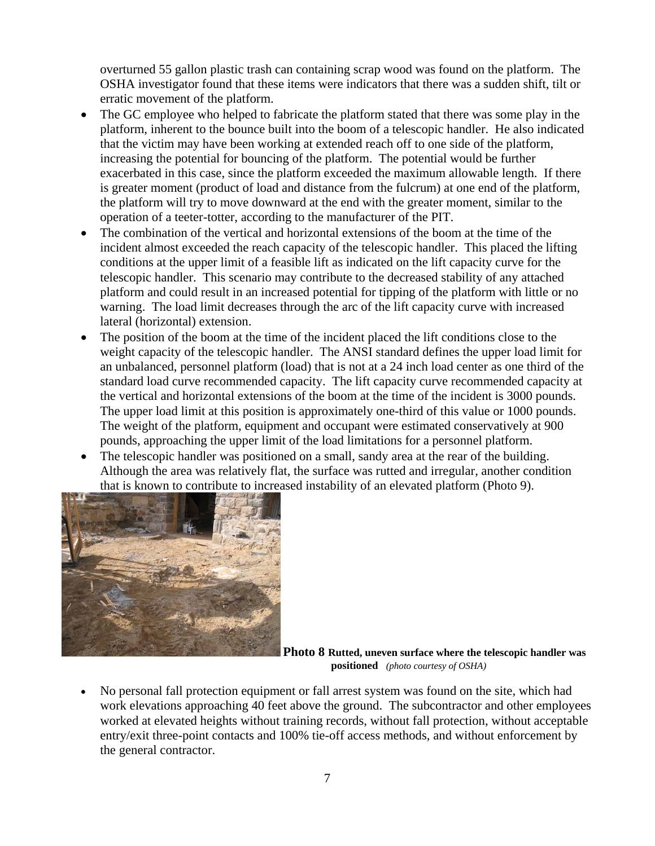overturned 55 gallon plastic trash can containing scrap wood was found on the platform. The OSHA investigator found that these items were indicators that there was a sudden shift, tilt or erratic movement of the platform.

- The GC employee who helped to fabricate the platform stated that there was some play in the platform, inherent to the bounce built into the boom of a telescopic handler. He also indicated that the victim may have been working at extended reach off to one side of the platform, increasing the potential for bouncing of the platform. The potential would be further exacerbated in this case, since the platform exceeded the maximum allowable length. If there is greater moment (product of load and distance from the fulcrum) at one end of the platform, the platform will try to move downward at the end with the greater moment, similar to the operation of a teeter-totter, according to the manufacturer of the PIT.
- The combination of the vertical and horizontal extensions of the boom at the time of the incident almost exceeded the reach capacity of the telescopic handler. This placed the lifting conditions at the upper limit of a feasible lift as indicated on the lift capacity curve for the telescopic handler. This scenario may contribute to the decreased stability of any attached platform and could result in an increased potential for tipping of the platform with little or no warning. The load limit decreases through the arc of the lift capacity curve with increased lateral (horizontal) extension.
- The position of the boom at the time of the incident placed the lift conditions close to the weight capacity of the telescopic handler. The ANSI standard defines the upper load limit for an unbalanced, personnel platform (load) that is not at a 24 inch load center as one third of the standard load curve recommended capacity. The lift capacity curve recommended capacity at the vertical and horizontal extensions of the boom at the time of the incident is 3000 pounds. The upper load limit at this position is approximately one-third of this value or 1000 pounds. The weight of the platform, equipment and occupant were estimated conservatively at 900 pounds, approaching the upper limit of the load limitations for a personnel platform.
- The telescopic handler was positioned on a small, sandy area at the rear of the building. Although the area was relatively flat, the surface was rutted and irregular, another condition that is known to contribute to increased instability of an elevated platform (Photo 9).



**Photo 8 Rutted, uneven surface where the telescopic handler was positioned** *(photo courtesy of OSHA)* 

 No personal fall protection equipment or fall arrest system was found on the site, which had work elevations approaching 40 feet above the ground. The subcontractor and other employees worked at elevated heights without training records, without fall protection, without acceptable entry/exit three-point contacts and 100% tie-off access methods, and without enforcement by the general contractor.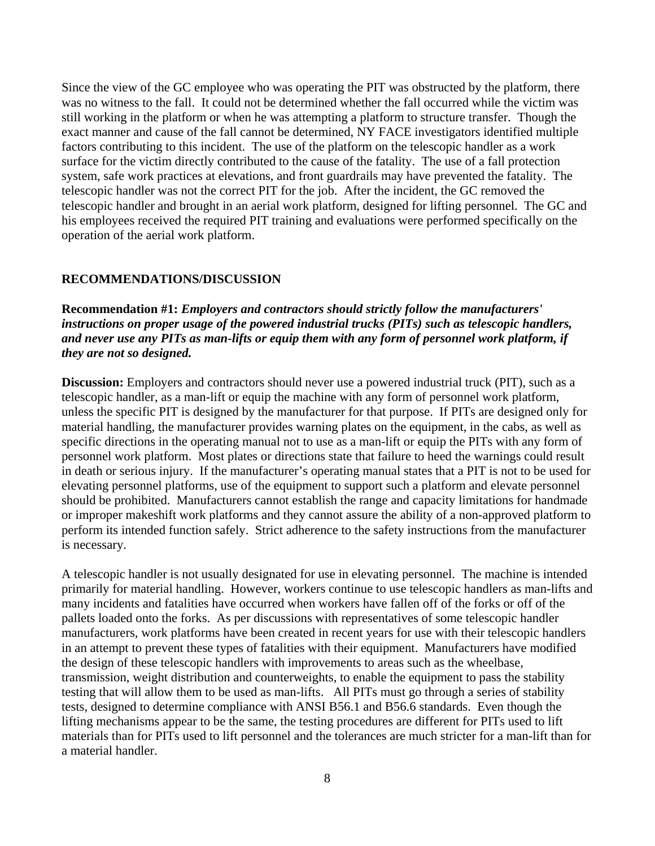Since the view of the GC employee who was operating the PIT was obstructed by the platform, there was no witness to the fall. It could not be determined whether the fall occurred while the victim was still working in the platform or when he was attempting a platform to structure transfer. Though the exact manner and cause of the fall cannot be determined, NY FACE investigators identified multiple factors contributing to this incident. The use of the platform on the telescopic handler as a work surface for the victim directly contributed to the cause of the fatality. The use of a fall protection system, safe work practices at elevations, and front guardrails may have prevented the fatality. The telescopic handler was not the correct PIT for the job. After the incident, the GC removed the telescopic handler and brought in an aerial work platform, designed for lifting personnel. The GC and his employees received the required PIT training and evaluations were performed specifically on the operation of the aerial work platform.

#### **RECOMMENDATIONS/DISCUSSION**

**Recommendation #1:** *Employers and contractors should strictly follow the manufacturers' instructions on proper usage of the powered industrial trucks (PITs) such as telescopic handlers, and never use any PITs as man-lifts or equip them with any form of personnel work platform, if they are not so designed.* 

**Discussion:** Employers and contractors should never use a powered industrial truck (PIT), such as a telescopic handler, as a man-lift or equip the machine with any form of personnel work platform, unless the specific PIT is designed by the manufacturer for that purpose. If PITs are designed only for material handling, the manufacturer provides warning plates on the equipment, in the cabs, as well as specific directions in the operating manual not to use as a man-lift or equip the PITs with any form of personnel work platform. Most plates or directions state that failure to heed the warnings could result in death or serious injury. If the manufacturer's operating manual states that a PIT is not to be used for elevating personnel platforms, use of the equipment to support such a platform and elevate personnel should be prohibited. Manufacturers cannot establish the range and capacity limitations for handmade or improper makeshift work platforms and they cannot assure the ability of a non-approved platform to perform its intended function safely. Strict adherence to the safety instructions from the manufacturer is necessary.

A telescopic handler is not usually designated for use in elevating personnel. The machine is intended primarily for material handling. However, workers continue to use telescopic handlers as man-lifts and many incidents and fatalities have occurred when workers have fallen off of the forks or off of the pallets loaded onto the forks. As per discussions with representatives of some telescopic handler manufacturers, work platforms have been created in recent years for use with their telescopic handlers in an attempt to prevent these types of fatalities with their equipment. Manufacturers have modified the design of these telescopic handlers with improvements to areas such as the wheelbase, transmission, weight distribution and counterweights, to enable the equipment to pass the stability testing that will allow them to be used as man-lifts. All PITs must go through a series of stability tests, designed to determine compliance with ANSI B56.1 and B56.6 standards. Even though the lifting mechanisms appear to be the same, the testing procedures are different for PITs used to lift materials than for PITs used to lift personnel and the tolerances are much stricter for a man-lift than for a material handler.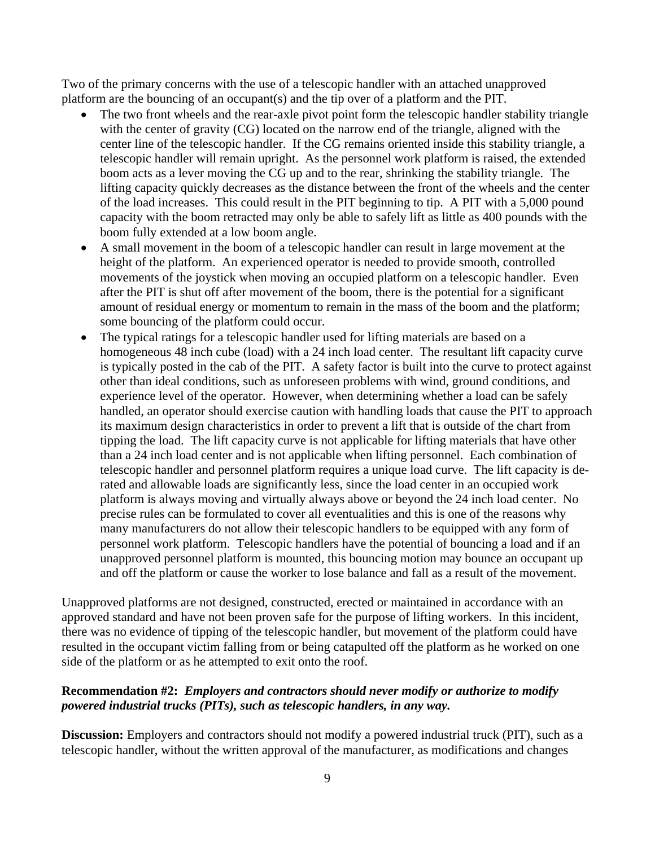Two of the primary concerns with the use of a telescopic handler with an attached unapproved platform are the bouncing of an occupant(s) and the tip over of a platform and the PIT.

- The two front wheels and the rear-axle pivot point form the telescopic handler stability triangle with the center of gravity (CG) located on the narrow end of the triangle, aligned with the center line of the telescopic handler. If the CG remains oriented inside this stability triangle, a telescopic handler will remain upright. As the personnel work platform is raised, the extended boom acts as a lever moving the CG up and to the rear, shrinking the stability triangle. The lifting capacity quickly decreases as the distance between the front of the wheels and the center of the load increases. This could result in the PIT beginning to tip. A PIT with a 5,000 pound capacity with the boom retracted may only be able to safely lift as little as 400 pounds with the boom fully extended at a low boom angle.
- A small movement in the boom of a telescopic handler can result in large movement at the height of the platform. An experienced operator is needed to provide smooth, controlled movements of the joystick when moving an occupied platform on a telescopic handler. Even after the PIT is shut off after movement of the boom, there is the potential for a significant amount of residual energy or momentum to remain in the mass of the boom and the platform; some bouncing of the platform could occur.
- The typical ratings for a telescopic handler used for lifting materials are based on a homogeneous 48 inch cube (load) with a 24 inch load center. The resultant lift capacity curve is typically posted in the cab of the PIT. A safety factor is built into the curve to protect against other than ideal conditions, such as unforeseen problems with wind, ground conditions, and experience level of the operator. However, when determining whether a load can be safely handled, an operator should exercise caution with handling loads that cause the PIT to approach its maximum design characteristics in order to prevent a lift that is outside of the chart from tipping the load. The lift capacity curve is not applicable for lifting materials that have other than a 24 inch load center and is not applicable when lifting personnel. Each combination of telescopic handler and personnel platform requires a unique load curve. The lift capacity is derated and allowable loads are significantly less, since the load center in an occupied work platform is always moving and virtually always above or beyond the 24 inch load center. No precise rules can be formulated to cover all eventualities and this is one of the reasons why many manufacturers do not allow their telescopic handlers to be equipped with any form of personnel work platform. Telescopic handlers have the potential of bouncing a load and if an unapproved personnel platform is mounted, this bouncing motion may bounce an occupant up and off the platform or cause the worker to lose balance and fall as a result of the movement.

Unapproved platforms are not designed, constructed, erected or maintained in accordance with an approved standard and have not been proven safe for the purpose of lifting workers. In this incident, there was no evidence of tipping of the telescopic handler, but movement of the platform could have resulted in the occupant victim falling from or being catapulted off the platform as he worked on one side of the platform or as he attempted to exit onto the roof.

#### **Recommendation #2:** *Employers and contractors should never modify or authorize to modify powered industrial trucks (PITs), such as telescopic handlers, in any way.*

**Discussion:** Employers and contractors should not modify a powered industrial truck (PIT), such as a telescopic handler, without the written approval of the manufacturer, as modifications and changes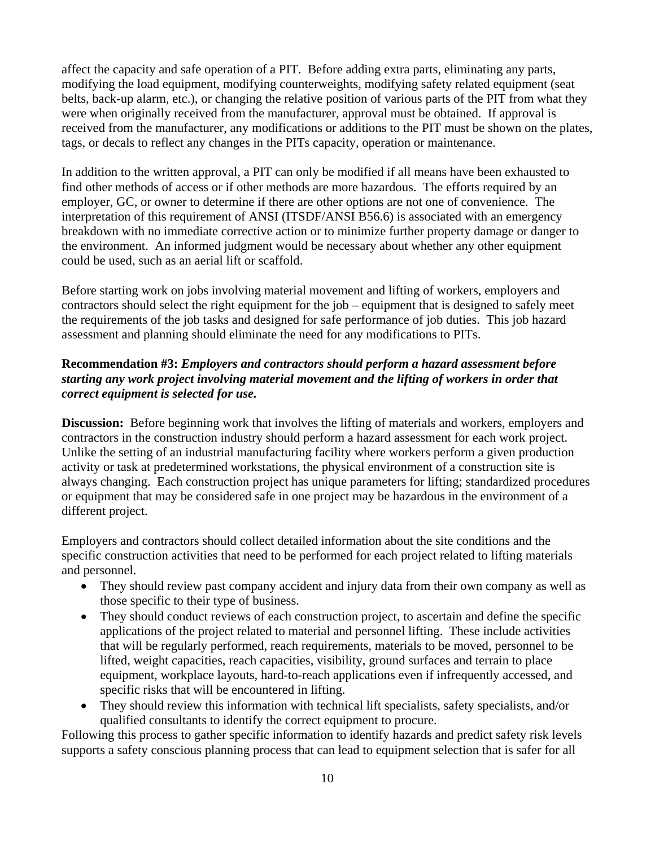affect the capacity and safe operation of a PIT. Before adding extra parts, eliminating any parts, modifying the load equipment, modifying counterweights, modifying safety related equipment (seat belts, back-up alarm, etc.), or changing the relative position of various parts of the PIT from what they were when originally received from the manufacturer, approval must be obtained. If approval is received from the manufacturer, any modifications or additions to the PIT must be shown on the plates, tags, or decals to reflect any changes in the PITs capacity, operation or maintenance.

In addition to the written approval, a PIT can only be modified if all means have been exhausted to find other methods of access or if other methods are more hazardous. The efforts required by an employer, GC, or owner to determine if there are other options are not one of convenience. The interpretation of this requirement of ANSI (ITSDF/ANSI B56.6) is associated with an emergency breakdown with no immediate corrective action or to minimize further property damage or danger to the environment. An informed judgment would be necessary about whether any other equipment could be used, such as an aerial lift or scaffold.

Before starting work on jobs involving material movement and lifting of workers, employers and contractors should select the right equipment for the job – equipment that is designed to safely meet the requirements of the job tasks and designed for safe performance of job duties. This job hazard assessment and planning should eliminate the need for any modifications to PITs.

#### **Recommendation #3:** *Employers and contractors should perform a hazard assessment before starting any work project involving material movement and the lifting of workers in order that correct equipment is selected for use.*

**Discussion:** Before beginning work that involves the lifting of materials and workers, employers and contractors in the construction industry should perform a hazard assessment for each work project. Unlike the setting of an industrial manufacturing facility where workers perform a given production activity or task at predetermined workstations, the physical environment of a construction site is always changing. Each construction project has unique parameters for lifting; standardized procedures or equipment that may be considered safe in one project may be hazardous in the environment of a different project.

Employers and contractors should collect detailed information about the site conditions and the specific construction activities that need to be performed for each project related to lifting materials and personnel.

- They should review past company accident and injury data from their own company as well as those specific to their type of business.
- They should conduct reviews of each construction project, to ascertain and define the specific applications of the project related to material and personnel lifting. These include activities that will be regularly performed, reach requirements, materials to be moved, personnel to be lifted, weight capacities, reach capacities, visibility, ground surfaces and terrain to place equipment, workplace layouts, hard-to-reach applications even if infrequently accessed, and specific risks that will be encountered in lifting.
- They should review this information with technical lift specialists, safety specialists, and/or qualified consultants to identify the correct equipment to procure.

Following this process to gather specific information to identify hazards and predict safety risk levels supports a safety conscious planning process that can lead to equipment selection that is safer for all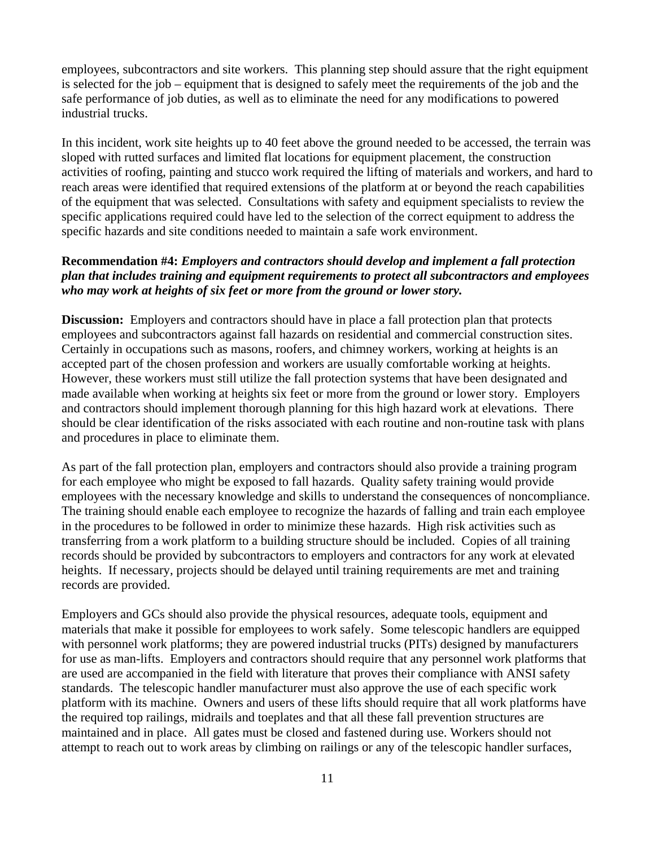employees, subcontractors and site workers. This planning step should assure that the right equipment is selected for the job – equipment that is designed to safely meet the requirements of the job and the safe performance of job duties, as well as to eliminate the need for any modifications to powered industrial trucks.

In this incident, work site heights up to 40 feet above the ground needed to be accessed, the terrain was sloped with rutted surfaces and limited flat locations for equipment placement, the construction activities of roofing, painting and stucco work required the lifting of materials and workers, and hard to reach areas were identified that required extensions of the platform at or beyond the reach capabilities of the equipment that was selected. Consultations with safety and equipment specialists to review the specific applications required could have led to the selection of the correct equipment to address the specific hazards and site conditions needed to maintain a safe work environment.

#### **Recommendation #4:** *Employers and contractors should develop and implement a fall protection plan that includes training and equipment requirements to protect all subcontractors and employees who may work at heights of six feet or more from the ground or lower story.*

**Discussion:** Employers and contractors should have in place a fall protection plan that protects employees and subcontractors against fall hazards on residential and commercial construction sites. Certainly in occupations such as masons, roofers, and chimney workers, working at heights is an accepted part of the chosen profession and workers are usually comfortable working at heights. However, these workers must still utilize the fall protection systems that have been designated and made available when working at heights six feet or more from the ground or lower story. Employers and contractors should implement thorough planning for this high hazard work at elevations. There should be clear identification of the risks associated with each routine and non-routine task with plans and procedures in place to eliminate them.

As part of the fall protection plan, employers and contractors should also provide a training program for each employee who might be exposed to fall hazards. Quality safety training would provide employees with the necessary knowledge and skills to understand the consequences of noncompliance. The training should enable each employee to recognize the hazards of falling and train each employee in the procedures to be followed in order to minimize these hazards. High risk activities such as transferring from a work platform to a building structure should be included. Copies of all training records should be provided by subcontractors to employers and contractors for any work at elevated heights. If necessary, projects should be delayed until training requirements are met and training records are provided.

Employers and GCs should also provide the physical resources, adequate tools, equipment and materials that make it possible for employees to work safely. Some telescopic handlers are equipped with personnel work platforms; they are powered industrial trucks (PITs) designed by manufacturers for use as man-lifts. Employers and contractors should require that any personnel work platforms that are used are accompanied in the field with literature that proves their compliance with ANSI safety standards. The telescopic handler manufacturer must also approve the use of each specific work platform with its machine. Owners and users of these lifts should require that all work platforms have the required top railings, midrails and toeplates and that all these fall prevention structures are maintained and in place. All gates must be closed and fastened during use. Workers should not attempt to reach out to work areas by climbing on railings or any of the telescopic handler surfaces,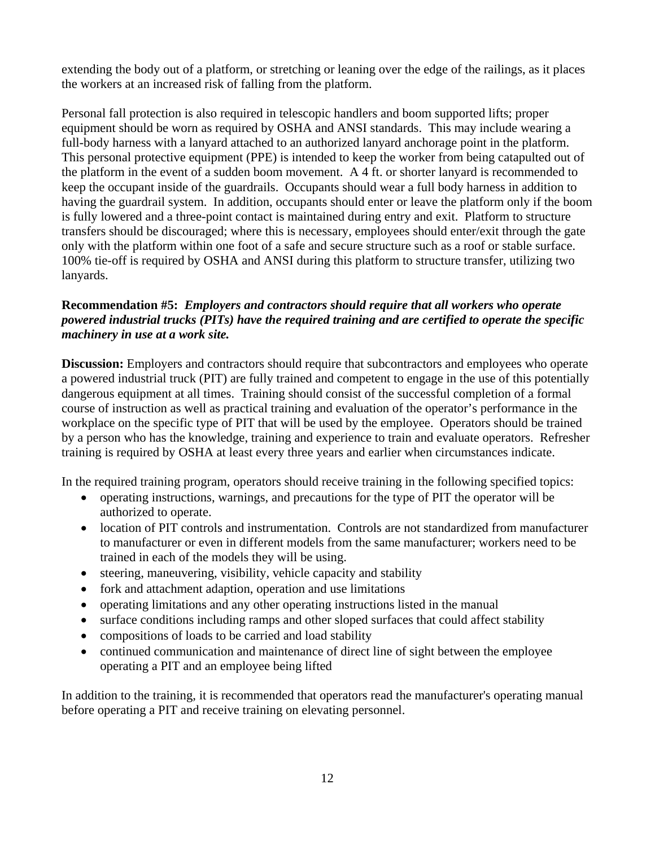extending the body out of a platform, or stretching or leaning over the edge of the railings, as it places the workers at an increased risk of falling from the platform.

Personal fall protection is also required in telescopic handlers and boom supported lifts; proper equipment should be worn as required by OSHA and ANSI standards. This may include wearing a full-body harness with a lanyard attached to an authorized lanyard anchorage point in the platform. This personal protective equipment (PPE) is intended to keep the worker from being catapulted out of the platform in the event of a sudden boom movement. A 4 ft. or shorter lanyard is recommended to keep the occupant inside of the guardrails. Occupants should wear a full body harness in addition to having the guardrail system. In addition, occupants should enter or leave the platform only if the boom is fully lowered and a three-point contact is maintained during entry and exit. Platform to structure transfers should be discouraged; where this is necessary, employees should enter/exit through the gate only with the platform within one foot of a safe and secure structure such as a roof or stable surface. 100% tie-off is required by OSHA and ANSI during this platform to structure transfer, utilizing two lanyards.

#### **Recommendation #5:** *Employers and contractors should require that all workers who operate powered industrial trucks (PITs) have the required training and are certified to operate the specific machinery in use at a work site.*

**Discussion:** Employers and contractors should require that subcontractors and employees who operate a powered industrial truck (PIT) are fully trained and competent to engage in the use of this potentially dangerous equipment at all times. Training should consist of the successful completion of a formal course of instruction as well as practical training and evaluation of the operator's performance in the workplace on the specific type of PIT that will be used by the employee. Operators should be trained by a person who has the knowledge, training and experience to train and evaluate operators. Refresher training is required by OSHA at least every three years and earlier when circumstances indicate.

In the required training program, operators should receive training in the following specified topics:

- operating instructions, warnings, and precautions for the type of PIT the operator will be authorized to operate.
- location of PIT controls and instrumentation. Controls are not standardized from manufacturer to manufacturer or even in different models from the same manufacturer; workers need to be trained in each of the models they will be using.
- steering, maneuvering, visibility, vehicle capacity and stability
- fork and attachment adaption, operation and use limitations
- operating limitations and any other operating instructions listed in the manual
- surface conditions including ramps and other sloped surfaces that could affect stability
- compositions of loads to be carried and load stability
- continued communication and maintenance of direct line of sight between the employee operating a PIT and an employee being lifted

In addition to the training, it is recommended that operators read the manufacturer's operating manual before operating a PIT and receive training on elevating personnel.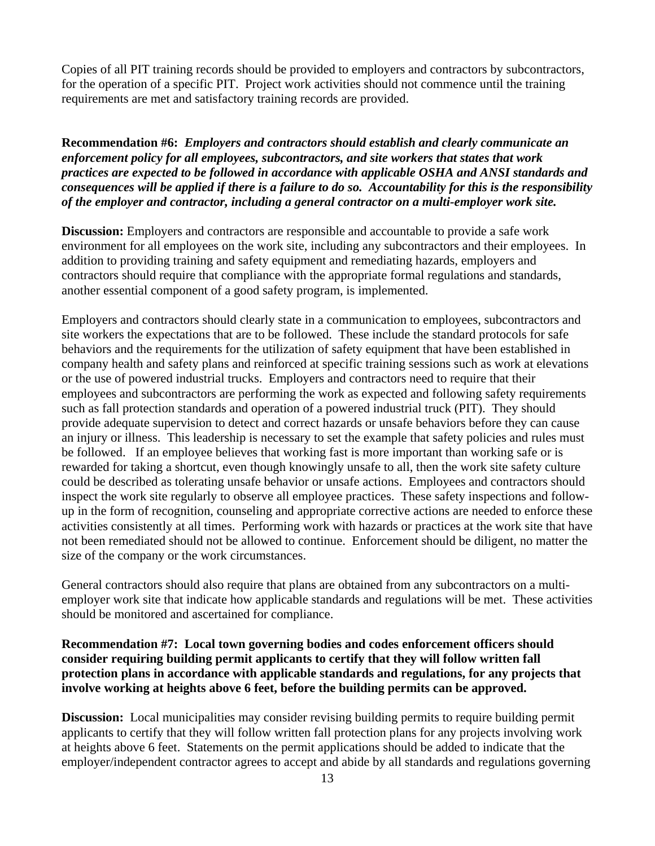Copies of all PIT training records should be provided to employers and contractors by subcontractors, for the operation of a specific PIT. Project work activities should not commence until the training requirements are met and satisfactory training records are provided.

**Recommendation #6:** *Employers and contractors should establish and clearly communicate an enforcement policy for all employees, subcontractors, and site workers that states that work practices are expected to be followed in accordance with applicable OSHA and ANSI standards and consequences will be applied if there is a failure to do so. Accountability for this is the responsibility of the employer and contractor, including a general contractor on a multi-employer work site.* 

**Discussion:** Employers and contractors are responsible and accountable to provide a safe work environment for all employees on the work site, including any subcontractors and their employees. In addition to providing training and safety equipment and remediating hazards, employers and contractors should require that compliance with the appropriate formal regulations and standards, another essential component of a good safety program, is implemented.

Employers and contractors should clearly state in a communication to employees, subcontractors and site workers the expectations that are to be followed. These include the standard protocols for safe behaviors and the requirements for the utilization of safety equipment that have been established in company health and safety plans and reinforced at specific training sessions such as work at elevations or the use of powered industrial trucks. Employers and contractors need to require that their employees and subcontractors are performing the work as expected and following safety requirements such as fall protection standards and operation of a powered industrial truck (PIT). They should provide adequate supervision to detect and correct hazards or unsafe behaviors before they can cause an injury or illness. This leadership is necessary to set the example that safety policies and rules must be followed. If an employee believes that working fast is more important than working safe or is rewarded for taking a shortcut, even though knowingly unsafe to all, then the work site safety culture could be described as tolerating unsafe behavior or unsafe actions. Employees and contractors should inspect the work site regularly to observe all employee practices. These safety inspections and followup in the form of recognition, counseling and appropriate corrective actions are needed to enforce these activities consistently at all times. Performing work with hazards or practices at the work site that have not been remediated should not be allowed to continue. Enforcement should be diligent, no matter the size of the company or the work circumstances.

General contractors should also require that plans are obtained from any subcontractors on a multiemployer work site that indicate how applicable standards and regulations will be met. These activities should be monitored and ascertained for compliance.

#### **Recommendation #7: Local town governing bodies and codes enforcement officers should consider requiring building permit applicants to certify that they will follow written fall protection plans in accordance with applicable standards and regulations, for any projects that involve working at heights above 6 feet, before the building permits can be approved.**

**Discussion:** Local municipalities may consider revising building permits to require building permit applicants to certify that they will follow written fall protection plans for any projects involving work at heights above 6 feet. Statements on the permit applications should be added to indicate that the employer/independent contractor agrees to accept and abide by all standards and regulations governing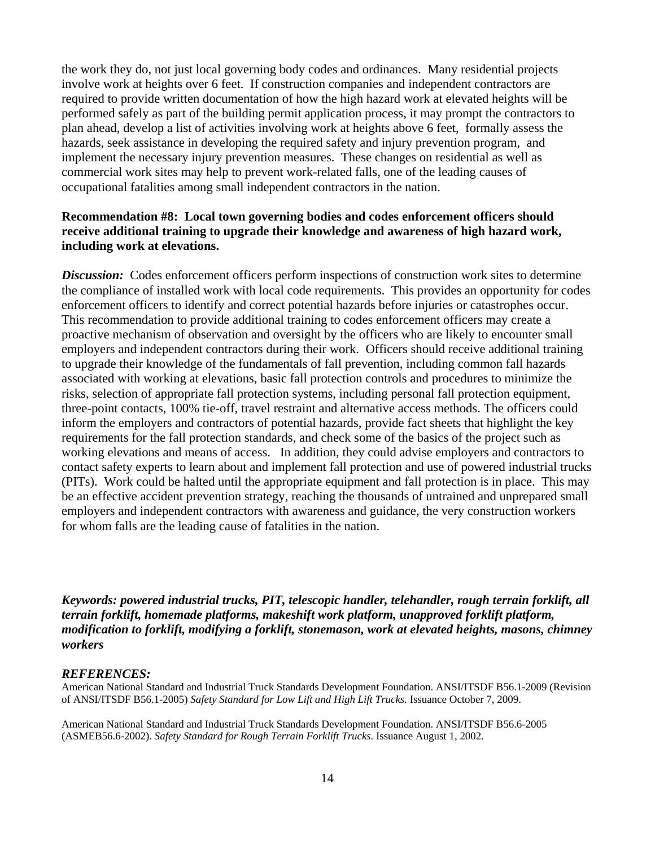the work they do, not just local governing body codes and ordinances. Many residential projects involve work at heights over 6 feet. If construction companies and independent contractors are required to provide written documentation of how the high hazard work at elevated heights will be performed safely as part of the building permit application process, it may prompt the contractors to plan ahead, develop a list of activities involving work at heights above 6 feet, formally assess the hazards, seek assistance in developing the required safety and injury prevention program, and implement the necessary injury prevention measures. These changes on residential as well as commercial work sites may help to prevent work-related falls, one of the leading causes of occupational fatalities among small independent contractors in the nation.

#### **Recommendation #8: Local town governing bodies and codes enforcement officers should receive additional training to upgrade their knowledge and awareness of high hazard work, including work at elevations.**

**Discussion:** Codes enforcement officers perform inspections of construction work sites to determine the compliance of installed work with local code requirements. This provides an opportunity for codes enforcement officers to identify and correct potential hazards before injuries or catastrophes occur. This recommendation to provide additional training to codes enforcement officers may create a proactive mechanism of observation and oversight by the officers who are likely to encounter small employers and independent contractors during their work. Officers should receive additional training to upgrade their knowledge of the fundamentals of fall prevention, including common fall hazards associated with working at elevations, basic fall protection controls and procedures to minimize the risks, selection of appropriate fall protection systems, including personal fall protection equipment, three-point contacts, 100% tie-off, travel restraint and alternative access methods. The officers could inform the employers and contractors of potential hazards, provide fact sheets that highlight the key requirements for the fall protection standards, and check some of the basics of the project such as working elevations and means of access. In addition, they could advise employers and contractors to contact safety experts to learn about and implement fall protection and use of powered industrial trucks (PITs). Work could be halted until the appropriate equipment and fall protection is in place. This may be an effective accident prevention strategy, reaching the thousands of untrained and unprepared small employers and independent contractors with awareness and guidance, the very construction workers for whom falls are the leading cause of fatalities in the nation.

*Keywords: powered industrial trucks, PIT, telescopic handler, telehandler, rough terrain forklift, all terrain forklift, homemade platforms, makeshift work platform, unapproved forklift platform, modification to forklift, modifying a forklift, stonemason, work at elevated heights, masons, chimney workers* 

#### *REFERENCES:*

American National Standard and Industrial Truck Standards Development Foundation. ANSI/ITSDF B56.1-2009 (Revision of ANSI/ITSDF B56.1-2005) *Safety Standard for Low Lift and High Lift Trucks.* Issuance October 7, 2009.

American National Standard and Industrial Truck Standards Development Foundation. ANSI/ITSDF B56.6-2005 (ASMEB56.6-2002). *Safety Standard for Rough Terrain Forklift Trucks*. Issuance August 1, 2002.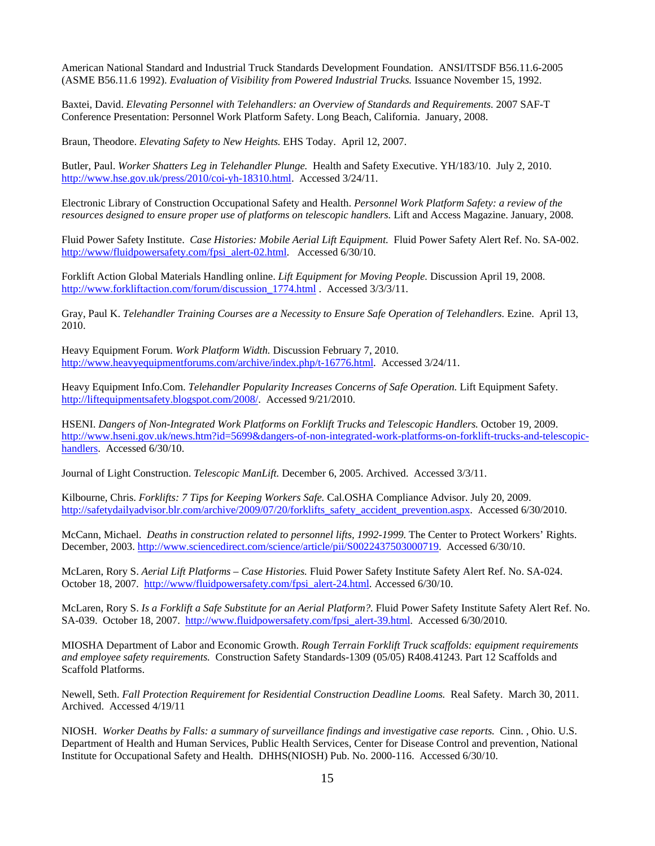American National Standard and Industrial Truck Standards Development Foundation. ANSI/ITSDF B56.11.6-2005 (ASME B56.11.6 1992). *Evaluation of Visibility from Powered Industrial Trucks.* Issuance November 15, 1992.

Baxtei, David. *Elevating Personnel with Telehandlers: an Overview of Standards and Requirements.* 2007 SAF-T Conference Presentation: Personnel Work Platform Safety. Long Beach, California. January, 2008.

Braun, Theodore. *Elevating Safety to New Heights.* EHS Today. April 12, 2007.

Butler, Paul. *Worker Shatters Leg in Telehandler Plunge.* Health and Safety Executive. YH/183/10. July 2, 2010. http://www.hse.gov.uk/press/2010/coi-yh-18310.html. Accessed 3/24/11.

Electronic Library of Construction Occupational Safety and Health. *Personnel Work Platform Safety: a review of the resources designed to ensure proper use of platforms on telescopic handlers.* Lift and Access Magazine. January, 2008.

Fluid Power Safety Institute. *Case Histories: Mobile Aerial Lift Equipment.* Fluid Power Safety Alert Ref. No. SA-002. http://www/fluidpowersafety.com/fpsi\_alert-02.html. Accessed 6/30/10.

Forklift Action Global Materials Handling online. *Lift Equipment for Moving People.* Discussion April 19, 2008. http://www.forkliftaction.com/forum/discussion 1774.html . Accessed 3/3/3/11.

Gray, Paul K. *Telehandler Training Courses are a Necessity to Ensure Safe Operation of Telehandlers.* Ezine. April 13, 2010.

Heavy Equipment Forum. *Work Platform Width.* Discussion February 7, 2010. http://www.heavyequipmentforums.com/archive/index.php/t-16776.html. Accessed 3/24/11.

Heavy Equipment Info.Com. *Telehandler Popularity Increases Concerns of Safe Operation*. Lift Equipment Safety. http://liftequipmentsafety.blogspot.com/2008/. Accessed 9/21/2010.

HSENI. *Dangers of Non-Integrated Work Platforms on Forklift Trucks and Telescopic Handlers.* October 19, 2009. http://www.hseni.gov.uk/news.htm?id=5699&dangers-of-non-integrated-work-platforms-on-forklift-trucks-and-telescopichandlers. Accessed 6/30/10.

Journal of Light Construction. *Telescopic ManLift.* December 6, 2005. Archived. Accessed 3/3/11.

Kilbourne, Chris. *Forklifts: 7 Tips for Keeping Workers Safe.* Cal.OSHA Compliance Advisor. July 20, 2009. http://safetydailyadvisor.blr.com/archive/2009/07/20/forklifts\_safety\_accident\_prevention.aspx. Accessed 6/30/2010.

McCann, Michael. *Deaths in construction related to personnel lifts, 1992-1999.* The Center to Protect Workers' Rights. December, 2003. http://www.sciencedirect.com/science/article/pii/S0022437503000719. Accessed 6/30/10.

McLaren, Rory S. *Aerial Lift Platforms – Case Histories.* Fluid Power Safety Institute Safety Alert Ref. No. SA-024. October 18, 2007. http://www/fluidpowersafety.com/fpsi\_alert-24.html. Accessed 6/30/10.

McLaren, Rory S. *Is a Forklift a Safe Substitute for an Aerial Platform?.* Fluid Power Safety Institute Safety Alert Ref. No. SA-039. October 18, 2007. http://www.fluidpowersafety.com/fpsi\_alert-39.html. Accessed 6/30/2010.

MIOSHA Department of Labor and Economic Growth. *Rough Terrain Forklift Truck scaffolds: equipment requirements and employee safety requirements.* Construction Safety Standards-1309 (05/05) R408.41243. Part 12 Scaffolds and Scaffold Platforms.

Newell, Seth. *Fall Protection Requirement for Residential Construction Deadline Looms.* Real Safety. March 30, 2011. Archived. Accessed 4/19/11

NIOSH. *Worker Deaths by Falls: a summary of surveillance findings and investigative case reports.* Cinn. , Ohio. U.S. Department of Health and Human Services, Public Health Services, Center for Disease Control and prevention, National Institute for Occupational Safety and Health. DHHS(NIOSH) Pub. No. 2000-116. Accessed 6/30/10.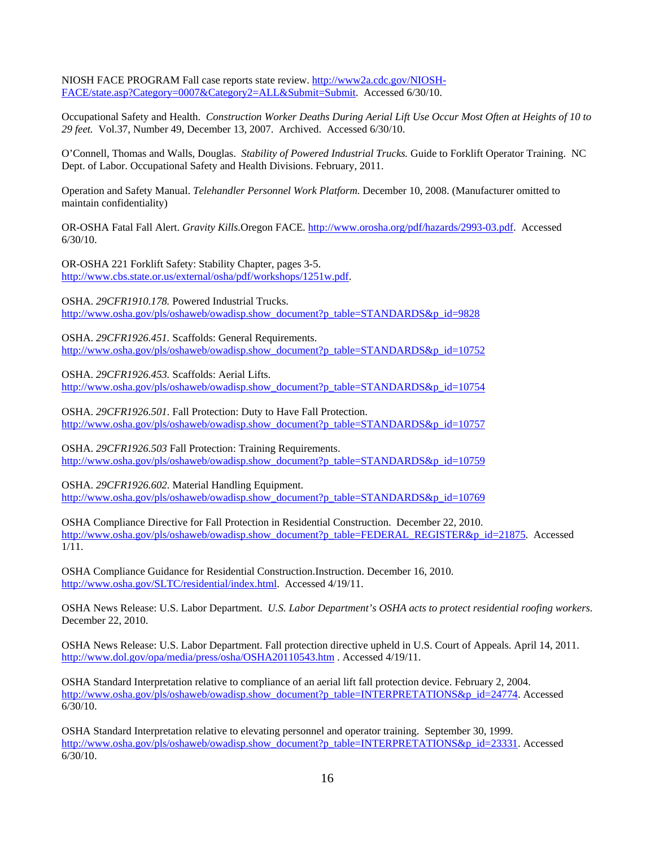NIOSH FACE PROGRAM Fall case reports state review. http://www2a.cdc.gov/NIOSH-FACE/state.asp?Category=0007&Category2=ALL&Submit=Submit. Accessed 6/30/10.

Occupational Safety and Health. *Construction Worker Deaths During Aerial Lift Use Occur Most Often at Heights of 10 to 29 feet.* Vol.37, Number 49, December 13, 2007. Archived. Accessed 6/30/10.

O'Connell, Thomas and Walls, Douglas. *Stability of Powered Industrial Trucks.* Guide to Forklift Operator Training. NC Dept. of Labor. Occupational Safety and Health Divisions. February, 2011.

Operation and Safety Manual. *Telehandler Personnel Work Platform.* December 10, 2008. (Manufacturer omitted to maintain confidentiality)

OR-OSHA Fatal Fall Alert. *Gravity Kills.*Oregon FACE. http://www.orosha.org/pdf/hazards/2993-03.pdf. Accessed 6/30/10.

OR-OSHA 221 Forklift Safety: Stability Chapter, pages 3-5. http://www.cbs.state.or.us/external/osha/pdf/workshops/1251w.pdf.

OSHA. *29CFR1910.178.* Powered Industrial Trucks. http://www.osha.gov/pls/oshaweb/owadisp.show\_document?p\_table=STANDARDS&p\_id=9828

OSHA. *29CFR1926.451.* Scaffolds: General Requirements. http://www.osha.gov/pls/oshaweb/owadisp.show\_document?p\_table=STANDARDS&p\_id=10752

OSHA. *29CFR1926.453.* Scaffolds: Aerial Lifts. http://www.osha.gov/pls/oshaweb/owadisp.show\_document?p\_table=STANDARDS&p\_id=10754

OSHA. *29CFR1926.501.* Fall Protection: Duty to Have Fall Protection. http://www.osha.gov/pls/oshaweb/owadisp.show\_document?p\_table=STANDARDS&p\_id=10757

OSHA. *29CFR1926.503* Fall Protection: Training Requirements. http://www.osha.gov/pls/oshaweb/owadisp.show\_document?p\_table=STANDARDS&p\_id=10759

OSHA. *29CFR1926.602.* Material Handling Equipment. http://www.osha.gov/pls/oshaweb/owadisp.show\_document?p\_table=STANDARDS&p\_id=10769

OSHA Compliance Directive for Fall Protection in Residential Construction. December 22, 2010. http://www.osha.gov/pls/oshaweb/owadisp.show\_document?p\_table=FEDERAL\_REGISTER&p\_id=21875. Accessed  $1/\overline{11}$ .

OSHA Compliance Guidance for Residential Construction.Instruction. December 16, 2010. http://www.osha.gov/SLTC/residential/index.html. Accessed 4/19/11.

OSHA News Release: U.S. Labor Department. *U.S. Labor Department's OSHA acts to protect residential roofing workers.*  December 22, 2010.

OSHA News Release: U.S. Labor Department. Fall protection directive upheld in U.S. Court of Appeals. April 14, 2011. http://www.dol.gov/opa/media/press/osha/OSHA20110543.htm . Accessed 4/19/11.

OSHA Standard Interpretation relative to compliance of an aerial lift fall protection device. February 2, 2004. http://www.osha.gov/pls/oshaweb/owadisp.show\_document?p\_table=INTERPRETATIONS&p\_id=24774. Accessed  $6/30/10$ .

OSHA Standard Interpretation relative to elevating personnel and operator training. September 30, 1999. http://www.osha.gov/pls/oshaweb/owadisp.show\_document?p\_table=INTERPRETATIONS&p\_id=23331. Accessed 6/30/10.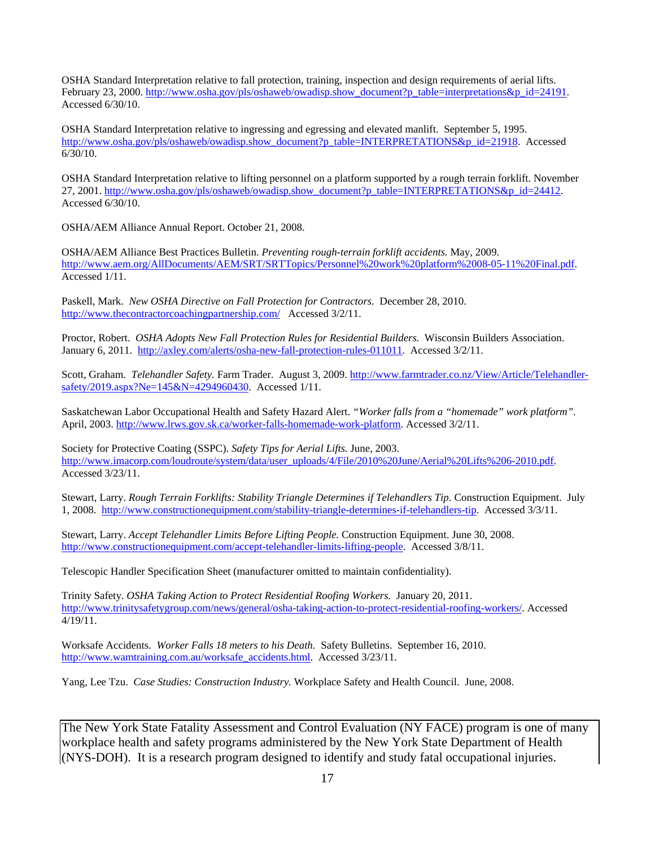OSHA Standard Interpretation relative to fall protection, training, inspection and design requirements of aerial lifts. February 23, 2000. http://www.osha.gov/pls/oshaweb/owadisp.show\_document?p\_table=interpretations&p\_id=24191. Accessed 6/30/10.

OSHA Standard Interpretation relative to ingressing and egressing and elevated manlift. September 5, 1995. http://www.osha.gov/pls/oshaweb/owadisp.show\_document?p\_table=INTERPRETATIONS&p\_id=21918. Accessed 6/30/10.

OSHA Standard Interpretation relative to lifting personnel on a platform supported by a rough terrain forklift. November 27, 2001. http://www.osha.gov/pls/oshaweb/owadisp.show\_document?p\_table=INTERPRETATIONS&p\_id=24412. Accessed 6/30/10.

OSHA/AEM Alliance Annual Report. October 21, 2008.

OSHA/AEM Alliance Best Practices Bulletin. *Preventing rough-terrain forklift accidents.* May, 2009. http://www.aem.org/AllDocuments/AEM/SRT/SRTTopics/Personnel%20work%20platform%2008-05-11%20Final.pdf. Accessed 1/11.

Paskell, Mark. *New OSHA Directive on Fall Protection for Contractors.* December 28, 2010. http://www.thecontractorcoachingpartnership.com/ Accessed 3/2/11.

Proctor, Robert. *OSHA Adopts New Fall Protection Rules for Residential Builders.* Wisconsin Builders Association. January 6, 2011. http://axley.com/alerts/osha-new-fall-protection-rules-011011. Accessed 3/2/11.

Scott, Graham. *Telehandler Safety*. Farm Trader. August 3, 2009. http://www.farmtrader.co.nz/View/Article/Telehandlersafety/2019.aspx?Ne=145&N=4294960430. Accessed 1/11.

Saskatchewan Labor Occupational Health and Safety Hazard Alert. *"Worker falls from a "homemade" work platform".*  April, 2003. http://www.lrws.gov.sk.ca/worker-falls-homemade-work-platform. Accessed 3/2/11.

Society for Protective Coating (SSPC). *Safety Tips for Aerial Lifts.* June, 2003. http://www.imacorp.com/loudroute/system/data/user\_uploads/4/File/2010%20June/Aerial%20Lifts%206-2010.pdf. Accessed 3/23/11.

Stewart, Larry. *Rough Terrain Forklifts: Stability Triangle Determines if Telehandlers Tip.* Construction Equipment. July 1, 2008. http://www.constructionequipment.com/stability-triangle-determines-if-telehandlers-tip. Accessed 3/3/11.

Stewart, Larry. *Accept Telehandler Limits Before Lifting People.* Construction Equipment. June 30, 2008. http://www.constructionequipment.com/accept-telehandler-limits-lifting-people. Accessed 3/8/11.

Telescopic Handler Specification Sheet (manufacturer omitted to maintain confidentiality).

Trinity Safety. *OSHA Taking Action to Protect Residential Roofing Workers.* January 20, 2011. http://www.trinitysafetygroup.com/news/general/osha-taking-action-to-protect-residential-roofing-workers/. Accessed 4/19/11.

Worksafe Accidents. *Worker Falls 18 meters to his Death.* Safety Bulletins. September 16, 2010. http://www.wamtraining.com.au/worksafe\_accidents.html. Accessed 3/23/11.

Yang, Lee Tzu. *Case Studies: Construction Industry.* Workplace Safety and Health Council. June, 2008.

The New York State Fatality Assessment and Control Evaluation (NY FACE) program is one of many workplace health and safety programs administered by the New York State Department of Health (NYS-DOH). It is a research program designed to identify and study fatal occupational injuries.